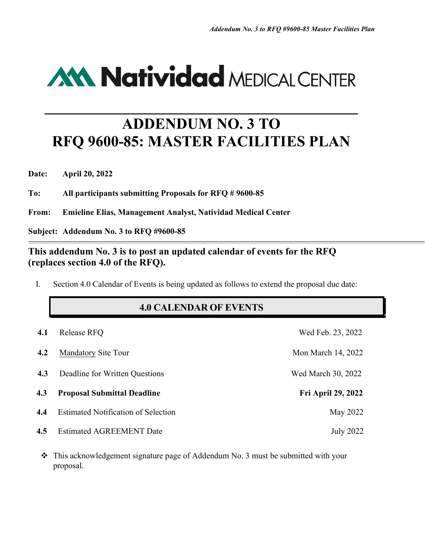# **AM Natividad MEDICAL CENTER**

# **ADDENDUM NO. 3 TO RFQ 9600-85: MASTER FACILITIES PLAN**

**\_\_\_\_\_\_\_\_\_\_\_\_\_\_\_\_\_\_\_\_\_\_\_\_\_\_\_\_\_\_\_\_\_\_\_\_\_\_\_\_\_**

**Date: April 20, 2022**

**To: All participants submitting Proposals for RFQ # 9600-85**

**From: Emieline Elias, Management Analyst, Natividad Medical Center**

**Subject: Addendum No. 3 to RFQ #9600-85**

#### **This addendum No. 3 is to post an updated calendar of events for the RFQ (replaces section 4.0 of the RFQ).**

I. Section 4.0 Calendar of Events is being updated as follows to extend the proposal due date:

### **4.0 CALENDAR OF EVENTS**

| 4.1 | Release RFQ                                | Wed Feb. 23, 2022         |
|-----|--------------------------------------------|---------------------------|
| 4.2 | <b>Mandatory Site Tour</b>                 | Mon March 14, 2022        |
| 4.3 | Deadline for Written Questions             | Wed March 30, 2022        |
| 4.3 | <b>Proposal Submittal Deadline</b>         | <b>Fri April 29, 2022</b> |
| 4.4 | <b>Estimated Notification of Selection</b> | May 2022                  |
| 4.5 | <b>Estimated AGREEMENT Date</b>            | <b>July 2022</b>          |

 This acknowledgement signature page of Addendum No. 3 must be submitted with your proposal.